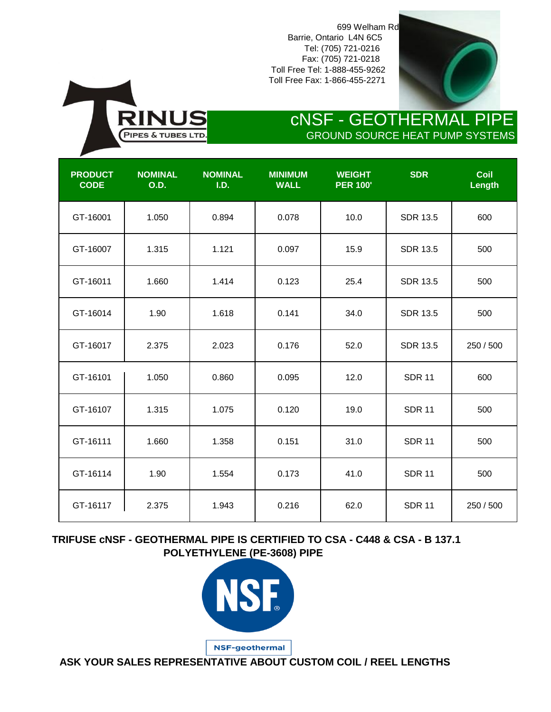Toll Free Tel: 1-888-455-9262 Toll Free Fax: 1-866-455-2271 699 Welham Rd Barrie, Ontario L4N 6C5 Tel: (705) 721-0216 Fax: (705) 721-0218



## GROUND SOURCE HEAT PUMP SYSTEMS cNSF - GEOTHERMAL PIPE

| <b>PRODUCT</b><br><b>CODE</b> | <b>NOMINAL</b><br><b>O.D.</b> | <b>NOMINAL</b><br>I.D. | <b>MINIMUM</b><br><b>WALL</b> | <b>WEIGHT</b><br><b>PER 100'</b> | <b>SDR</b>      | Coil<br>Length |
|-------------------------------|-------------------------------|------------------------|-------------------------------|----------------------------------|-----------------|----------------|
| GT-16001                      | 1.050                         | 0.894                  | 0.078                         | 10.0                             | <b>SDR 13.5</b> | 600            |
| GT-16007                      | 1.315                         | 1.121                  | 0.097                         | 15.9                             | <b>SDR 13.5</b> | 500            |
| GT-16011                      | 1.660                         | 1.414                  | 0.123                         | 25.4                             | <b>SDR 13.5</b> | 500            |
| GT-16014                      | 1.90                          | 1.618                  | 0.141                         | 34.0                             | <b>SDR 13.5</b> | 500            |
| GT-16017                      | 2.375                         | 2.023                  | 0.176                         | 52.0                             | <b>SDR 13.5</b> | 250 / 500      |
| GT-16101                      | 1.050                         | 0.860                  | 0.095                         | 12.0                             | <b>SDR 11</b>   | 600            |
| GT-16107                      | 1.315                         | 1.075                  | 0.120                         | 19.0                             | <b>SDR 11</b>   | 500            |
| GT-16111                      | 1.660                         | 1.358                  | 0.151                         | 31.0                             | <b>SDR 11</b>   | 500            |
| GT-16114                      | 1.90                          | 1.554                  | 0.173                         | 41.0                             | <b>SDR 11</b>   | 500            |
| GT-16117                      | 2.375                         | 1.943                  | 0.216                         | 62.0                             | <b>SDR 11</b>   | 250 / 500      |

INUS

PIPES & TUBES LTD

 **TRIFUSE cNSF - GEOTHERMAL PIPE IS CERTIFIED TO CSA - C448 & CSA - B 137.1 POLYETHYLENE (PE-3608) PIPE**



 **ASK YOUR SALES REPRESENTATIVE ABOUT CUSTOM COIL / REEL LENGTHS**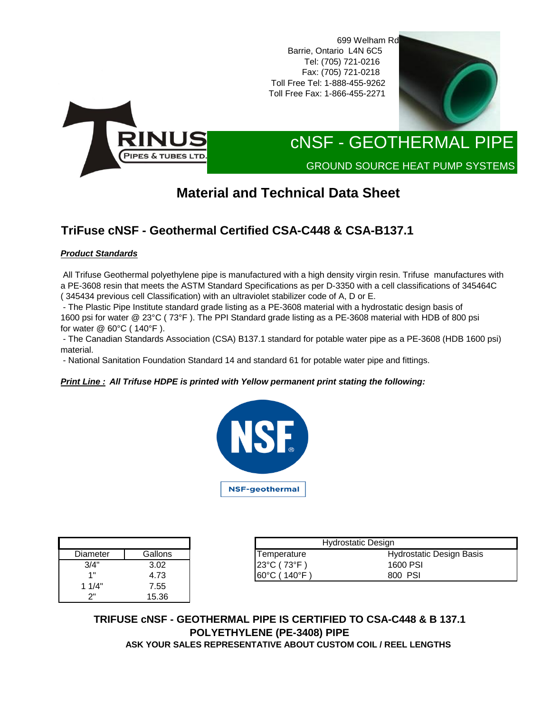699 Welham Rd Toll Free Fax: 1-866-455-2271 Barrie, Ontario L4N 6C5 Toll Free Tel: 1-888-455-9262 Fax: (705) 721-0218 Tel: (705) 721-0216





# cNSF - GEOTHERMAL PIPE

GROUND SOURCE HEAT PUMP SYSTEMS

## **Material and Technical Data Sheet**

### **TriFuse cNSF - Geothermal Certified CSA-C448 & CSA-B137.1**

### *Product Standards*

 All Trifuse Geothermal polyethylene pipe is manufactured with a high density virgin resin. Trifuse manufactures with a PE-3608 resin that meets the ASTM Standard Specifications as per D-3350 with a cell classifications of 345464C ( 345434 previous cell Classification) with an ultraviolet stabilizer code of A, D or E.

 - The Plastic Pipe Institute standard grade listing as a PE-3608 material with a hydrostatic design basis of 1600 psi for water @ 23°C ( 73°F ). The PPI Standard grade listing as a PE-3608 material with HDB of 800 psi for water @ 60°C ( 140°F ).

 - The Canadian Standards Association (CSA) B137.1 standard for potable water pipe as a PE-3608 (HDB 1600 psi) material.

- National Sanitation Foundation Standard 14 and standard 61 for potable water pipe and fittings.

#### *Print Line : All Trifuse HDPE is printed with Yellow permanent print stating the following:*



| Diameter | Gallons |
|----------|---------|
| 3/4"     | 3.02    |
| 1"       | 4.73    |
| 1 1/4"   | 7.55    |
| つ"       | 15.36   |

|                |         |                                    | <b>Hydrostatic Design</b> |
|----------------|---------|------------------------------------|---------------------------|
| Diameter       | Gallons | Temperature                        | Hydrostatic Design Basis  |
| 3/4"           | 3.02    | $123^{\circ}$ C (73 $^{\circ}$ F)  | 1600 PSI                  |
| $\overline{A}$ | 4.73    | $ 60^{\circ}$ C (140 $^{\circ}$ F) | 800 PSI                   |

 **TRIFUSE cNSF - GEOTHERMAL PIPE IS CERTIFIED TO CSA-C448 & B 137.1 POLYETHYLENE (PE-3408) PIPE ASK YOUR SALES REPRESENTATIVE ABOUT CUSTOM COIL / REEL LENGTHS**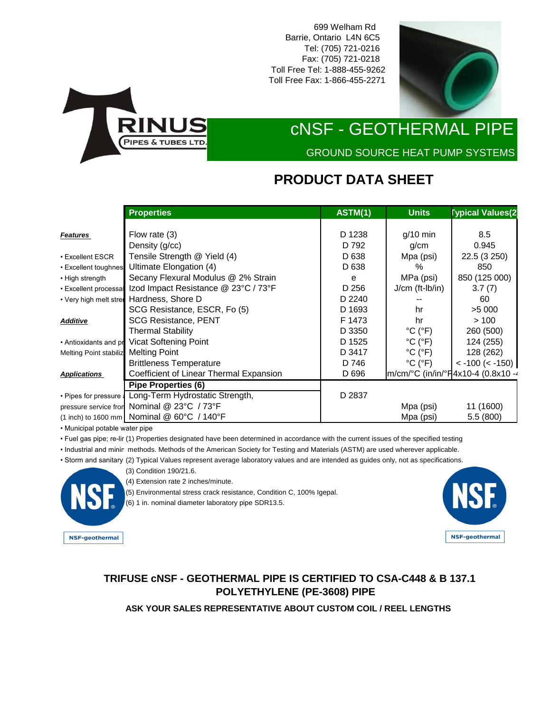699 Welham Rd Barrie, Ontario L4N 6C5 Tel: (705) 721-0216 Fax: (705) 721-0218 Toll Free Tel: 1-888-455-9262 Toll Free Fax: 1-866-455-2271





## cNSF - GEOTHERMAL PIPE

GROUND SOURCE HEAT PUMP SYSTEMS

### **PRODUCT DATA SHEET**

|                               | <b>Properties</b>                          | ASTM(1) | <b>Units</b>                 | <b>Typical Values(2</b>            |
|-------------------------------|--------------------------------------------|---------|------------------------------|------------------------------------|
|                               |                                            |         |                              |                                    |
| <b>Features</b>               | Flow rate (3)                              | D 1238  | $g/10$ min                   | 8.5                                |
|                               | Density (g/cc)                             | D 792   | q/cm                         | 0.945                              |
| • Excellent ESCR              | Tensile Strength @ Yield (4)               | D 638   | Mpa (psi)                    | 22.5 (3 250)                       |
| • Excellent toughnes          | Ultimate Elongation (4)                    | D 638   | $\%$                         | 850                                |
| • High strength               | Secany Flexural Modulus @ 2% Strain        | e       | MPa (psi)                    | 850 (125 000)                      |
| • Excellent processal         | Izod Impact Resistance @ 23°C / 73°F       | D 256   | $J/cm$ (ft- $Ib/in$ )        | 3.7(7)                             |
| • Very high melt strei        | Hardness, Shore D                          | D 2240  |                              | 60                                 |
|                               | SCG Resistance, ESCR, Fo (5)               | D 1693  | hr                           | >5000                              |
| <b>Additive</b>               | <b>SCG Resistance, PENT</b>                | F 1473  | hr                           | >100                               |
|                               | <b>Thermal Stability</b>                   | D 3350  | $^{\circ}$ C ( $^{\circ}$ F) | 260 (500)                          |
| • Antioxidants and pr         | Vicat Softening Point                      | D 1525  | $^{\circ}$ C ( $^{\circ}$ F) | 124 (255)                          |
| <b>Melting Point stabiliz</b> | <b>Melting Point</b>                       | D 3417  | $^{\circ}$ C ( $^{\circ}$ F) | 128 (262)                          |
|                               | <b>Brittleness Temperature</b>             | D 746   | $^{\circ}$ C ( $^{\circ}$ F) | $<$ -100 ( $<$ -150)               |
| <b>Applications</b>           | Coefficient of Linear Thermal Expansion    | D 696   |                              | Im/cm/°C (in/in/°F4x10-4 (0.8x10 - |
|                               | <b>Pipe Properties (6)</b>                 |         |                              |                                    |
| • Pipes for pressure:         | Long-Term Hydrostatic Strength,            | D 2837  |                              |                                    |
| pressure service fron         | Nominal @ 23°C / 73°F                      |         | Mpa (psi)                    | 11 (1600)                          |
|                               | (1 inch) to 1600 mm Nominal @ 60°C / 140°F |         | Mpa (psi)                    | 5.5(800)                           |

• Municipal potable water pipe

• Fuel gas pipe; re-lir (1) Properties designated have been determined in accordance with the current issues of the specified testing

• Industrial and minin methods. Methods of the American Society for Testing and Materials (ASTM) are used wherever applicable.

• Storm and sanitary (2) Typical Values represent average laboratory values and are intended as guides only, not as specifications.



- (4) Extension rate 2 inches/minute.
- (5) Environmental stress crack resistance, Condition C, 100% Igepal.

(6) 1 in. nominal diameter laboratory pipe SDR13.5.



### **TRIFUSE cNSF - GEOTHERMAL PIPE IS CERTIFIED TO CSA-C448 & B 137.1 POLYETHYLENE (PE-3608) PIPE**

**ASK YOUR SALES REPRESENTATIVE ABOUT CUSTOM COIL / REEL LENGTHS**